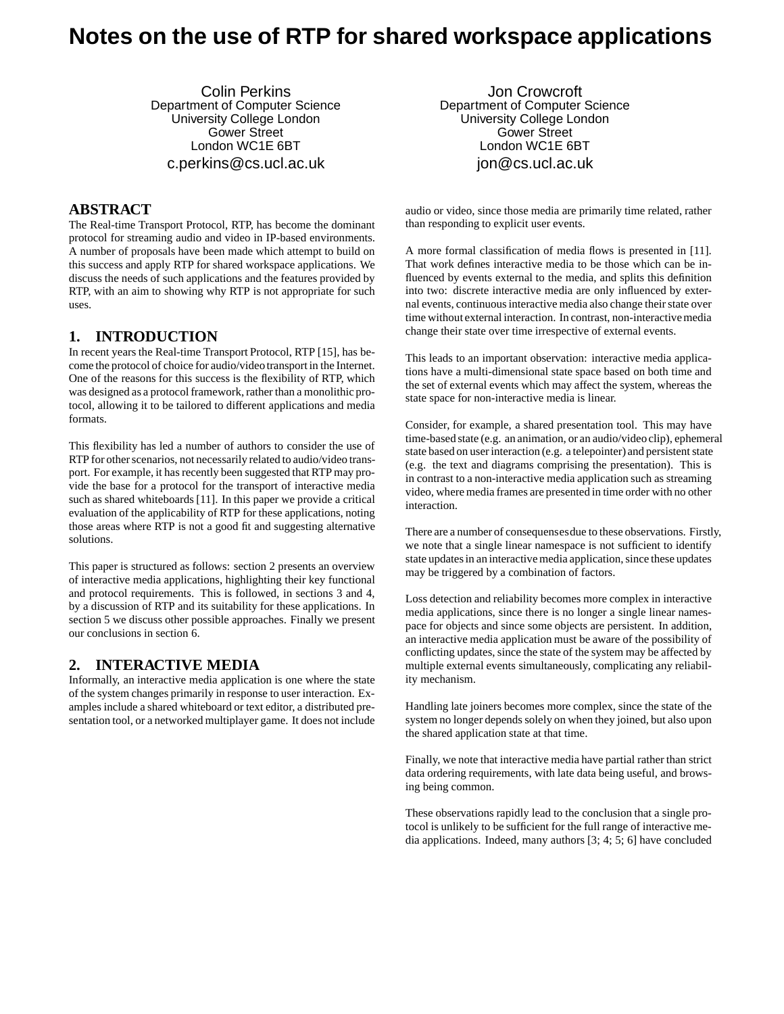# **Notes on the use of RTP for shared workspace applications**

Colin Perkins Department of Computer Science University College London Gower Street London WC1E 6BT c.perkins@cs.ucl.ac.uk

# **ABSTRACT**

The Real-time Transport Protocol, RTP, has become the dominant protocol for streaming audio and video in IP-based environments. A number of proposals have been made which attempt to build on this success and apply RTP for shared workspace applications. We discuss the needs of such applications and the features provided by RTP, with an aim to showing why RTP is not appropriate for such uses.

# **1. INTRODUCTION**

In recent years the Real-time Transport Protocol, RTP [15], has become the protocol of choice for audio/video transport in the Internet. One of the reasons for this success is the flexibility of RTP, which was designed as a protocol framework, rather than a monolithic protocol, allowing it to be tailored to different applications and media formats.

This flexibility has led a number of authors to consider the use of RTP for other scenarios, not necessarily related to audio/video transport. For example, it has recently been suggested that RTP may provide the base for a protocol for the transport of interactive media such as shared whiteboards [11]. In this paper we provide a critical evaluation of the applicability of RTP for these applications, noting those areas where RTP is not a good fit and suggesting alternative solutions.

This paper is structured as follows: section 2 presents an overview of interactive media applications, highlighting their key functional and protocol requirements. This is followed, in sections 3 and 4, by a discussion of RTP and its suitability for these applications. In section 5 we discuss other possible approaches. Finally we present our conclusions in section 6.

## **2. INTERACTIVE MEDIA**

Informally, an interactive media application is one where the state of the system changes primarily in response to user interaction. Examples include a shared whiteboard or text editor, a distributed presentation tool, or a networked multiplayer game. It does not include

Jon Crowcroft Department of Computer Science University College London Gower Street London WC1E 6BT jon@cs.ucl.ac.uk

audio or video, since those media are primarily time related, rather than responding to explicit user events.

A more formal classification of media flows is presented in [11]. That work defines interactive media to be those which can be influenced by events external to the media, and splits this definition into two: discrete interactive media are only influenced by external events, continuous interactive media also change their state over time without external interaction. In contrast, non-interactive media change their state over time irrespective of external events.

This leads to an important observation: interactive media applications have a multi-dimensional state space based on both time and the set of external events which may affect the system, whereas the state space for non-interactive media is linear.

Consider, for example, a shared presentation tool. This may have time-based state (e.g. an animation, or an audio/video clip), ephemeral state based on user interaction (e.g. a telepointer) and persistent state (e.g. the text and diagrams comprising the presentation). This is in contrast to a non-interactive media application such as streaming video, where media frames are presented in time order with no other interaction.

There are a number of consequensesdue to these observations. Firstly, we note that a single linear namespace is not sufficient to identify state updates in an interactive media application, since these updates may be triggered by a combination of factors.

Loss detection and reliability becomes more complex in interactive media applications, since there is no longer a single linear namespace for objects and since some objects are persistent. In addition, an interactive media application must be aware of the possibility of conflicting updates, since the state of the system may be affected by multiple external events simultaneously, complicating any reliability mechanism.

Handling late joiners becomes more complex, since the state of the system no longer depends solely on when they joined, but also upon the shared application state at that time.

Finally, we note that interactive media have partial rather than strict data ordering requirements, with late data being useful, and browsing being common.

These observations rapidly lead to the conclusion that a single protocol is unlikely to be sufficient for the full range of interactive media applications. Indeed, many authors [3; 4; 5; 6] have concluded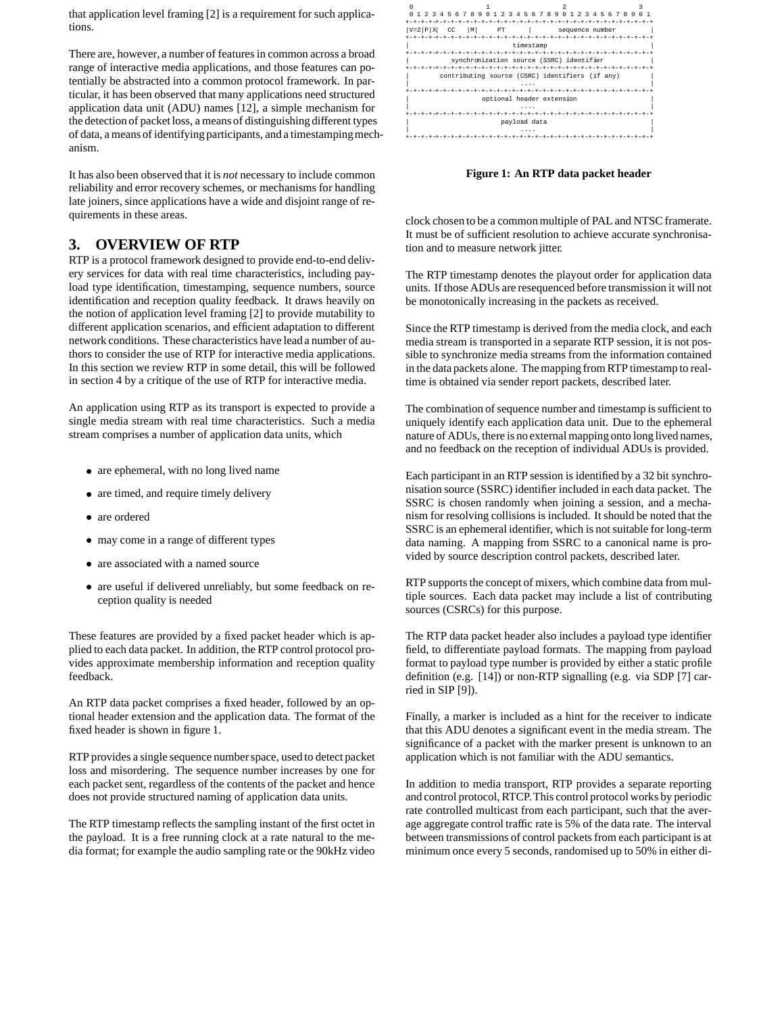that application level framing [2] is a requirement for such applications.

There are, however, a number of features in common across a broad range of interactive media applications, and those features can potentially be abstracted into a common protocol framework. In particular, it has been observed that many applications need structured application data unit (ADU) names [12], a simple mechanism for the detection of packetloss, a means of distinguishing different types of data, a means of identifying participants, and a timestamping mechanism.

It has also been observed that it is *not* necessary to include common reliability and error recovery schemes, or mechanisms for handling late joiners, since applications have a wide and disjoint range of requirements in these areas.

# **3. OVERVIEW OF RTP**

RTP is a protocol framework designed to provide end-to-end delivery services for data with real time characteristics, including payload type identification, timestamping, sequence numbers, source identification and reception quality feedback. It draws heavily on the notion of application level framing [2] to provide mutability to different application scenarios, and efficient adaptation to different network conditions. These characteristics have lead a number of authors to consider the use of RTP for interactive media applications. In this section we review RTP in some detail, this will be followed in section 4 by a critique of the use of RTP for interactive media.

An application using RTP as its transport is expected to provide a single media stream with real time characteristics. Such a media stream comprises a number of application data units, which

- are ephemeral, with no long lived name
- are timed, and require timely delivery
- are ordered
- may come in a range of different types
- are associated with a named source
- are useful if delivered unreliably, but some feedback on reception quality is needed

These features are provided by a fixed packet header which is applied to each data packet. In addition, the RTP control protocol provides approximate membership information and reception quality feedback.

An RTP data packet comprises a fixed header, followed by an optional header extension and the application data. The format of the fixed header is shown in figure 1.

RTP provides a single sequence numberspace, used to detect packet loss and misordering. The sequence number increases by one for each packet sent, regardless of the contents of the packet and hence does not provide structured naming of application data units.

The RTP timestamp reflects the sampling instant of the first octet in the payload. It is a free running clock at a rate natural to the media format; for example the audio sampling rate or the 90kHz video

| 1 2 3 4 5 6 7 8 9 0 1 2 3 4 5 6 7 8 9 0 1 2 3 4 5 6 7 8 9 |    |                 |  |  |
|-----------------------------------------------------------|----|-----------------|--|--|
|                                                           |    |                 |  |  |
| $V = 2  P X$<br> M <br>CC                                 | PТ | sequence number |  |  |
|                                                           |    |                 |  |  |
| timestamp                                                 |    |                 |  |  |
| -------------------------------------                     |    |                 |  |  |
| synchronization source (SSRC) identifier                  |    |                 |  |  |
|                                                           |    |                 |  |  |
| contributing source (CSRC) identifiers (if any)           |    |                 |  |  |
|                                                           |    |                 |  |  |
|                                                           |    |                 |  |  |
| optional header extension                                 |    |                 |  |  |
|                                                           |    |                 |  |  |
|                                                           |    |                 |  |  |
| payload data                                              |    |                 |  |  |
|                                                           |    |                 |  |  |
|                                                           |    |                 |  |  |

**Figure 1: An RTP data packet header**

clock chosen to be a common multiple of PAL and NTSC framerate. It must be of sufficient resolution to achieve accurate synchronisation and to measure network jitter.

The RTP timestamp denotes the playout order for application data units. Ifthose ADUs are resequenced before transmission it will not be monotonically increasing in the packets as received.

Since the RTP timestamp is derived from the media clock, and each media stream is transported in a separate RTP session, it is not possible to synchronize media streams from the information contained in the data packets alone. The mapping from RTP timestamp to realtime is obtained via sender report packets, described later.

The combination of sequence number and timestamp is sufficient to uniquely identify each application data unit. Due to the ephemeral nature of ADUs, there is no external mapping onto long lived names, and no feedback on the reception of individual ADUs is provided.

Each participant in an RTP session is identified by a 32 bit synchronisation source (SSRC) identifier included in each data packet. The SSRC is chosen randomly when joining a session, and a mechanism for resolving collisions is included. It should be noted that the SSRC is an ephemeral identifier, which is not suitable for long-term data naming. A mapping from SSRC to a canonical name is provided by source description control packets, described later.

RTP supports the concept of mixers, which combine data from multiple sources. Each data packet may include a list of contributing sources (CSRCs) for this purpose.

The RTP data packet header also includes a payload type identifier field, to differentiate payload formats. The mapping from payload format to payload type number is provided by either a static profile definition (e.g. [14]) or non-RTP signalling (e.g. via SDP [7] carried in SIP [9]).

Finally, a marker is included as a hint for the receiver to indicate that this ADU denotes a significant event in the media stream. The significance of a packet with the marker present is unknown to an application which is not familiar with the ADU semantics.

In addition to media transport, RTP provides a separate reporting and control protocol, RTCP.This control protocol works by periodic rate controlled multicast from each participant, such that the average aggregate control traffic rate is 5% of the data rate. The interval between transmissions of control packets from each participant is at minimum once every 5 seconds, randomised up to 50% in either di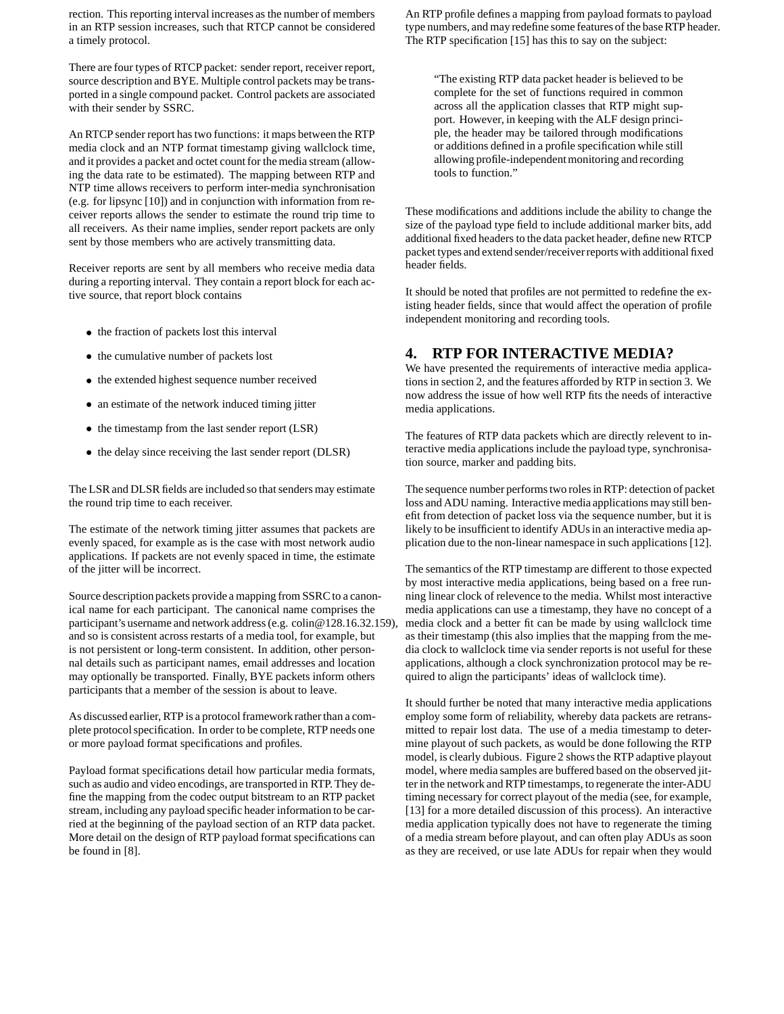rection. This reporting interval increases as the number of members in an RTP session increases, such that RTCP cannot be considered a timely protocol.

There are four types of RTCP packet: sender report, receiver report, source description and BYE. Multiple control packets may be transported in a single compound packet. Control packets are associated with their sender by SSRC.

An RTCP sender report has two functions: it maps between the RTP media clock and an NTP format timestamp giving wallclock time, and it provides a packet and octet count for the media stream (allowing the data rate to be estimated). The mapping between RTP and NTP time allows receivers to perform inter-media synchronisation (e.g. for lipsync [10]) and in conjunction with information from receiver reports allows the sender to estimate the round trip time to all receivers. As their name implies, sender report packets are only sent by those members who are actively transmitting data.

Receiver reports are sent by all members who receive media data during a reporting interval. They contain a report block for each active source, that report block contains

- the fraction of packets lost this interval
- the cumulative number of packets lost
- the extended highest sequence number received
- an estimate of the network induced timing jitter
- the timestamp from the last sender report (LSR)
- the delay since receiving the last sender report (DLSR)

The LSR and DLSR fields are included so that senders may estimate the round trip time to each receiver.

The estimate of the network timing jitter assumes that packets are evenly spaced, for example as is the case with most network audio applications. If packets are not evenly spaced in time, the estimate of the jitter will be incorrect.

Source description packets provide a mapping from SSRC to a canonical name for each participant. The canonical name comprises the participant's username and network address(e.g. colin@128.16.32.159), and so is consistent across restarts of a media tool, for example, but is not persistent or long-term consistent. In addition, other personnal details such as participant names, email addresses and location may optionally be transported. Finally, BYE packets inform others participants that a member of the session is about to leave.

As discussed earlier, RTP is a protocol framework rather than a complete protocolspecification. In order to be complete, RTP needs one or more payload format specifications and profiles.

Payload format specifications detail how particular media formats, such as audio and video encodings, are transported in RTP.They define the mapping from the codec output bitstream to an RTP packet stream, including any payload specific header information to be carried at the beginning of the payload section of an RTP data packet. More detail on the design of RTP payload format specifications can be found in [8].

An RTP profile defines a mapping from payload formats to payload type numbers, and may redefine some features of the baseRTP header. The RTP specification [15] has this to say on the subject:

"The existing RTP data packet header is believed to be complete for the set of functions required in common across all the application classes that RTP might support. However, in keeping with the ALF design principle, the header may be tailored through modifications or additions defined in a profile specification while still allowing profile-independent monitoring and recording tools to function."

These modifications and additions include the ability to change the size of the payload type field to include additional marker bits, add additional fixed headers to the data packet header, define new RTCP packet types and extend sender/receiver reports with additional fixed header fields.

It should be noted that profiles are not permitted to redefine the existing header fields, since that would affect the operation of profile independent monitoring and recording tools.

### **4. RTP FOR INTERACTIVE MEDIA?**

We have presented the requirements of interactive media applications in section 2, and the features afforded by RTP in section 3. We now address the issue of how well RTP fits the needs of interactive media applications.

The features of RTP data packets which are directly relevent to interactive media applications include the payload type, synchronisation source, marker and padding bits.

The sequence number performs two roles in RTP: detection of packet loss and ADU naming. Interactive media applications may still benefit from detection of packet loss via the sequence number, but it is likely to be insufficient to identify ADUs in an interactive media application due to the non-linear namespace in such applications [12].

The semantics of the RTP timestamp are different to those expected by most interactive media applications, being based on a free running linear clock of relevence to the media. Whilst most interactive media applications can use a timestamp, they have no concept of a media clock and a better fit can be made by using wallclock time as their timestamp (this also implies that the mapping from the media clock to wallclock time via sender reportsis not useful for these applications, although a clock synchronization protocol may be required to align the participants' ideas of wallclock time).

It should further be noted that many interactive media applications employ some form of reliability, whereby data packets are retransmitted to repair lost data. The use of a media timestamp to determine playout of such packets, as would be done following the RTP model, is clearly dubious. Figure 2 showsthe RTP adaptive playout model, where media samples are buffered based on the observed jitter in the network and RTP timestamps, to regenerate the inter-ADU timing necessary for correct playout of the media (see, for example, [13] for a more detailed discussion of this process). An interactive media application typically does not have to regenerate the timing of a media stream before playout, and can often play ADUs as soon as they are received, or use late ADUs for repair when they would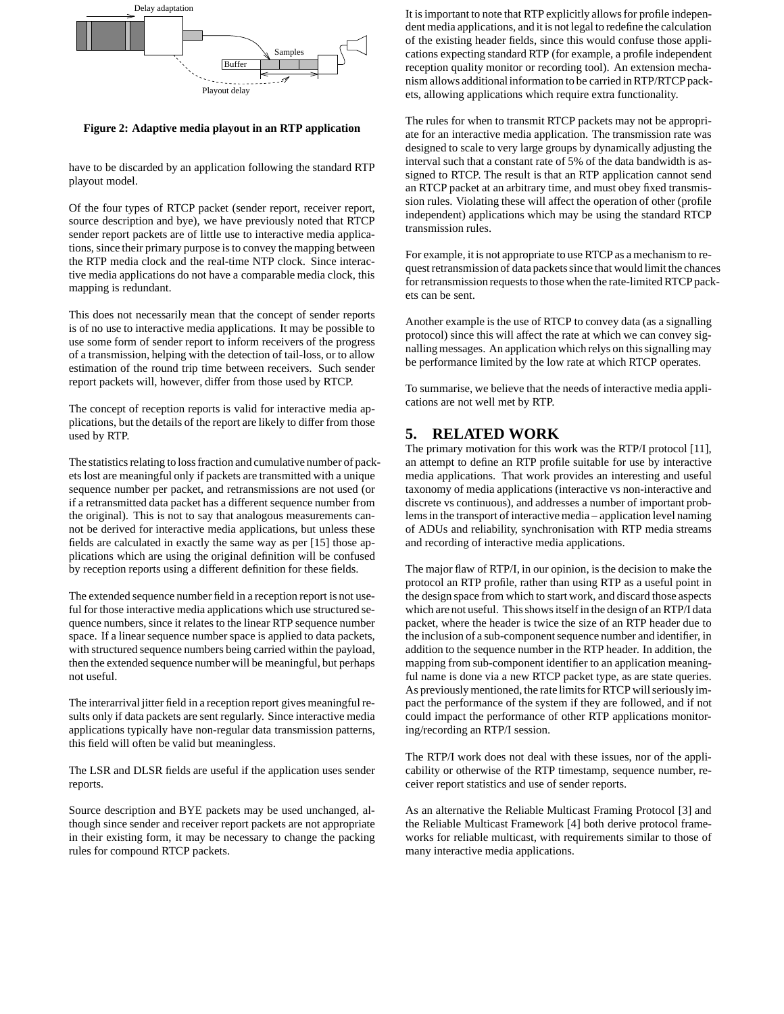

#### **Figure 2: Adaptive media playout in an RTP application**

have to be discarded by an application following the standard RTP playout model.

Of the four types of RTCP packet (sender report, receiver report, source description and bye), we have previously noted that RTCP sender report packets are of little use to interactive media applications, since their primary purpose isto convey the mapping between the RTP media clock and the real-time NTP clock. Since interactive media applications do not have a comparable media clock, this mapping is redundant.

This does not necessarily mean that the concept of sender reports is of no use to interactive media applications. It may be possible to use some form of sender report to inform receivers of the progress of a transmission, helping with the detection of tail-loss, or to allow estimation of the round trip time between receivers. Such sender report packets will, however, differ from those used by RTCP.

The concept of reception reports is valid for interactive media applications, but the details of the report are likely to differ from those used by RTP.

The statistics relating to loss fraction and cumulative number of packets lost are meaningful only if packets are transmitted with a unique sequence number per packet, and retransmissions are not used (or if a retransmitted data packet has a different sequence number from the original). This is not to say that analogous measurements cannot be derived for interactive media applications, but unless these fields are calculated in exactly the same way as per [15] those applications which are using the original definition will be confused by reception reports using a different definition for these fields.

The extended sequence number field in a reception report is not useful for those interactive media applications which use structured sequence numbers, since it relates to the linear RTP sequence number space. If a linear sequence number space is applied to data packets, with structured sequence numbers being carried within the payload, then the extended sequence number will be meaningful, but perhaps not useful.

The interarrival jitter field in a reception report gives meaningfulresults only if data packets are sent regularly. Since interactive media applications typically have non-regular data transmission patterns, this field will often be valid but meaningless.

The LSR and DLSR fields are useful if the application uses sender reports.

Source description and BYE packets may be used unchanged, although since sender and receiver report packets are not appropriate in their existing form, it may be necessary to change the packing rules for compound RTCP packets.

It is important to note that RTP explicitly allows for profile independent media applications, and it is not legal to redefine the calculation of the existing header fields, since this would confuse those applications expecting standard RTP (for example, a profile independent reception quality monitor or recording tool). An extension mechanism allows additionalinformation to be carried inRTP/RTCP packets, allowing applications which require extra functionality.

The rules for when to transmit RTCP packets may not be appropriate for an interactive media application. The transmission rate was designed to scale to very large groups by dynamically adjusting the interval such that a constant rate of 5% of the data bandwidth is assigned to RTCP. The result is that an RTP application cannot send an RTCP packet at an arbitrary time, and must obey fixed transmission rules. Violating these will affect the operation of other (profile independent) applications which may be using the standard RTCP transmission rules.

For example, it is not appropriate to use RTCP as a mechanism to request retransmission of data packets since that would limit the chances for retransmission requests to those when the rate-limited RTCP packets can be sent.

Another example is the use of RTCP to convey data (as a signalling protocol) since this will affect the rate at which we can convey signalling messages. An application which relys on this signalling may be performance limited by the low rate at which RTCP operates.

To summarise, we believe that the needs of interactive media applications are not well met by RTP.

# **5. RELATED WORK**

The primary motivation for this work was the RTP/I protocol [11], an attempt to define an RTP profile suitable for use by interactive media applications. That work provides an interesting and useful taxonomy of media applications (interactive vs non-interactive and discrete vs continuous), and addresses a number of important problems in the transport of interactive media – application level naming of ADUs and reliability, synchronisation with RTP media streams and recording of interactive media applications.

The major flaw of RTP/I, in our opinion, is the decision to make the protocol an RTP profile, rather than using RTP as a useful point in the design space from which to start work, and discard those aspects which are not useful. This shows itself in the design of an RTP/I data packet, where the header is twice the size of an RTP header due to the inclusion of a sub-component sequence number and identifier, in addition to the sequence number in the RTP header. In addition, the mapping from sub-component identifier to an application meaningful name is done via a new RTCP packet type, as are state queries. As previously mentioned, the rate limits for RTCP will seriously impact the performance of the system if they are followed, and if not could impact the performance of other RTP applications monitoring/recording an RTP/I session.

The RTP/I work does not deal with these issues, nor of the applicability or otherwise of the RTP timestamp, sequence number, receiver report statistics and use of sender reports.

As an alternative the Reliable Multicast Framing Protocol [3] and the Reliable Multicast Framework [4] both derive protocol frameworks for reliable multicast, with requirements similar to those of many interactive media applications.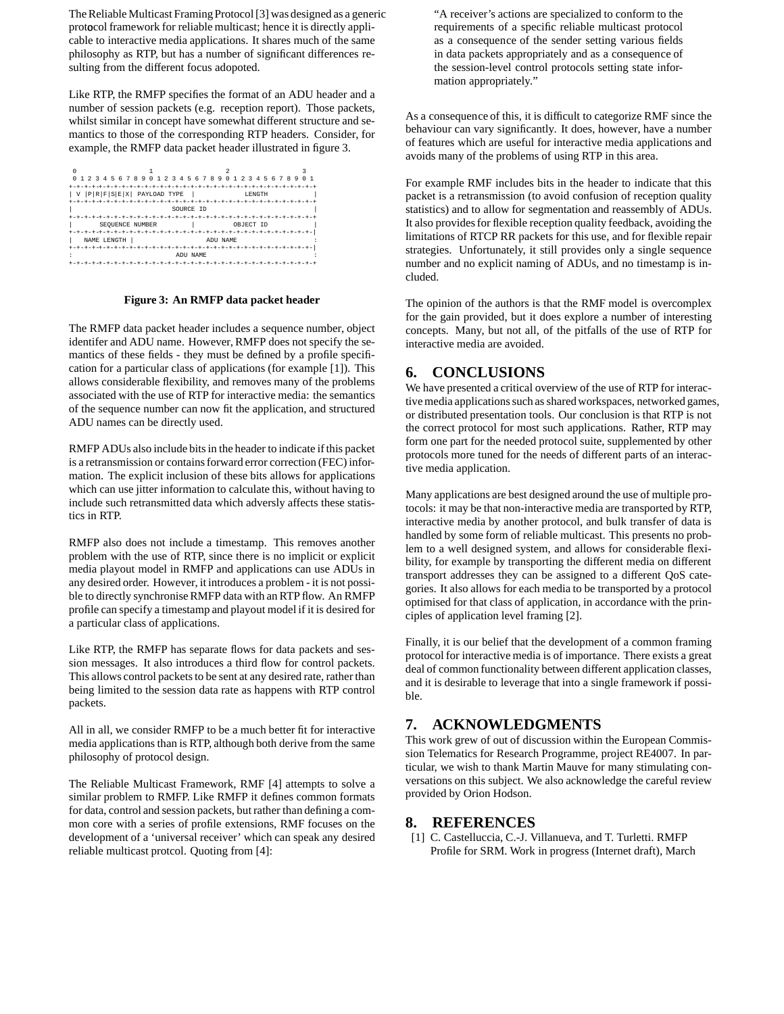The Reliable Multicast Framing Protocol [3] was designed as a generic protocol framework for reliable multicast; hence it is directly applicable to interactive media applications. It shares much of the same philosophy as RTP, but has a number of significant differences resulting from the different focus adopoted.

Like RTP, the RMFP specifies the format of an ADU header and a number of session packets (e.g. reception report). Those packets, whilst similar in concept have somewhat different structure and semantics to those of the corresponding RTP headers. Consider, for example, the RMFP data packet header illustrated in figure 3.

| 1 2 3 4 5 6 7 8 9                                                            | 0 1 2 3 4 5 6 7 8 9 0 1 2 3 4 5 6 7 8 9<br>0 <sub>1</sub> |  |  |
|------------------------------------------------------------------------------|-----------------------------------------------------------|--|--|
| $ V $ $ P R F S E X $<br>PAYLOAD TYPE<br>+-+-+-+-+-+-+-+<br>--+-+-+-+-+-+-+- | LENGTH                                                    |  |  |
| SOURCE ID                                                                    |                                                           |  |  |
| SEQUENCE NUMBER                                                              | OBJECT ID                                                 |  |  |
| NAME LENGTH                                                                  | ADII NAME                                                 |  |  |
| +-+-+-+-+-+-+-+-+<br>ADII NAME                                               |                                                           |  |  |

#### **Figure 3: An RMFP data packet header**

The RMFP data packet header includes a sequence number, object identifer and ADU name. However, RMFP does not specify the semantics of these fields - they must be defined by a profile specification for a particular class of applications (for example [1]). This allows considerable flexibility, and removes many of the problems associated with the use of RTP for interactive media: the semantics of the sequence number can now fit the application, and structured ADU names can be directly used.

RMFP ADUs also include bits in the header to indicate if this packet is a retransmission or contains forward error correction (FEC) information. The explicit inclusion of these bits allows for applications which can use jitter information to calculate this, without having to include such retransmitted data which adversly affects these statistics in RTP.

RMFP also does not include a timestamp. This removes another problem with the use of RTP, since there is no implicit or explicit media playout model in RMFP and applications can use ADUs in any desired order. However, it introduces a problem - it is not possible to directly synchronise RMFP data with an RTP flow. An RMFP profile can specify a timestamp and playout model if it is desired for a particular class of applications.

Like RTP, the RMFP has separate flows for data packets and session messages. It also introduces a third flow for control packets. This allows control packets to be sent at any desired rate, rather than being limited to the session data rate as happens with RTP control packets.

All in all, we consider RMFP to be a much better fit for interactive media applications than is RTP, although both derive from the same philosophy of protocol design.

The Reliable Multicast Framework, RMF [4] attempts to solve a similar problem to RMFP. Like RMFP it defines common formats for data, control and session packets, but rather than defining a common core with a series of profile extensions, RMF focuses on the development of a 'universal receiver' which can speak any desired reliable multicast protcol. Quoting from [4]:

"A receiver's actions are specialized to conform to the requirements of a specific reliable multicast protocol as a consequence of the sender setting various fields in data packets appropriately and as a consequence of the session-level control protocols setting state information appropriately."

As a consequence of this, it is difficult to categorize RMF since the behaviour can vary significantly. It does, however, have a number of features which are useful for interactive media applications and avoids many of the problems of using RTP in this area.

For example RMF includes bits in the header to indicate that this packet is a retransmission (to avoid confusion of reception quality statistics) and to allow for segmentation and reassembly of ADUs. It also provides for flexible reception quality feedback, avoiding the limitations of RTCP RR packets for this use, and for flexible repair strategies. Unfortunately, it still provides only a single sequence number and no explicit naming of ADUs, and no timestamp is included.

The opinion of the authors is that the RMF model is overcomplex for the gain provided, but it does explore a number of interesting concepts. Many, but not all, of the pitfalls of the use of RTP for interactive media are avoided.

## **6. CONCLUSIONS**

We have presented a critical overview of the use of RTP for interactive media applications such as shared workspaces, networked games, or distributed presentation tools. Our conclusion is that RTP is not the correct protocol for most such applications. Rather, RTP may form one part for the needed protocol suite, supplemented by other protocols more tuned for the needs of different parts of an interactive media application.

Many applications are best designed around the use of multiple protocols: it may be that non-interactive media are transported by RTP, interactive media by another protocol, and bulk transfer of data is handled by some form of reliable multicast. This presents no problem to a well designed system, and allows for considerable flexibility, for example by transporting the different media on different transport addresses they can be assigned to a different QoS categories. It also allows for each media to be transported by a protocol optimised for that class of application, in accordance with the principles of application level framing [2].

Finally, it is our belief that the development of a common framing protocol for interactive media is of importance. There exists a great deal of common functionality between different application classes, and it is desirable to leverage that into a single framework if possible.

## **7. ACKNOWLEDGMENTS**

This work grew of out of discussion within the European Commission Telematics for Research Programme, project RE4007. In particular, we wish to thank Martin Mauve for many stimulating conversations on this subject. We also acknowledge the careful review provided by Orion Hodson.

# **8. REFERENCES**

[1] C. Castelluccia, C.-J. Villanueva, and T. Turletti. RMFP Profile for SRM. Work in progress (Internet draft), March